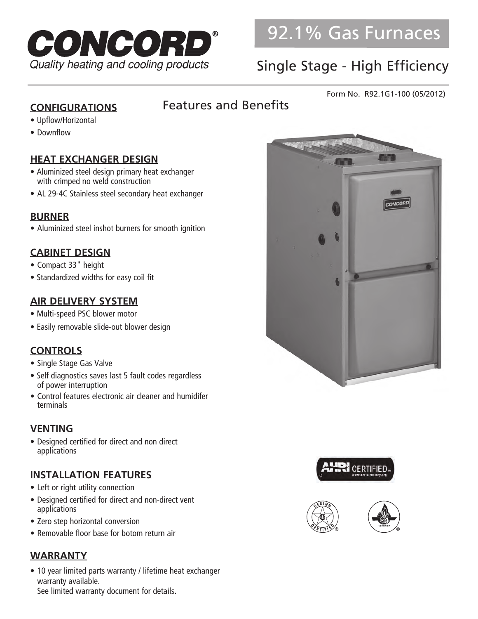

# Single Stage - High Efficiency

#### Form No. R92.1G1-100 (05/2012)

#### **CONFIGURATIONS**

### Features and Benefits

- Upflow/Horizontal
- Downflow

#### **HEAT EXCHANGER DESIGN**

- Aluminized steel design primary heat exchanger with crimped no weld construction
- AL 29-4C Stainless steel secondary heat exchanger

#### **BURNER**

• Aluminized steel inshot burners for smooth ignition

#### **CABINET DESIGN**

- Compact 33" height
- Standardized widths for easy coil fit

#### **AIR DELIVERY SYSTEM**

- Multi-speed PSC blower motor
- Easily removable slide-out blower design

#### **CONTROLS**

- Single Stage Gas Valve
- Self diagnostics saves last 5 fault codes regardless of power interruption
- Control features electronic air cleaner and humidifer terminals

#### **VENTING**

• Designed certified for direct and non direct applications

#### **INSTALLATION FEATURES**

- Left or right utility connection
- Designed certified for direct and non-direct vent applications
- Zero step horizontal conversion
- Removable floor base for botom return air

#### **WARRANTY**

• 10 year limited parts warranty / lifetime heat exchanger warranty available. See limited warranty document for details.





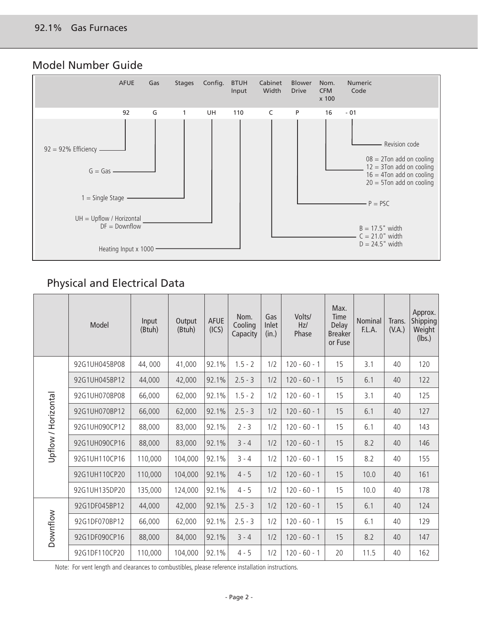#### Model Number Guide



### Physical and Electrical Data

|                     | Model         | Input<br>(Btuh) | Output<br>(Btuh) | <b>AFUE</b><br>(ICS) | Nom.<br>Cooling<br>Capacity | Gas<br>Inlet<br>(in.) | Volts/<br>Hz/<br>Phase | Max.<br>Time<br>Delay<br><b>Breaker</b><br>or Fuse | Nominal<br>F.L.A. | Trans.<br>(V.A.) | Approx.<br>Shipping<br>Weight<br>(lbs.) |
|---------------------|---------------|-----------------|------------------|----------------------|-----------------------------|-----------------------|------------------------|----------------------------------------------------|-------------------|------------------|-----------------------------------------|
|                     | 92G1UH045BP08 | 44,000          | 41,000           | 92.1%                | $1.5 - 2$                   | 1/2                   | $120 - 60 - 1$         | 15                                                 | 3.1               | 40               | 120                                     |
|                     | 92G1UH045BP12 | 44,000          | 42,000           | 92.1%                | $2.5 - 3$                   | 1/2                   | $120 - 60 - 1$         | 15                                                 | 6.1               | 40               | 122                                     |
|                     | 92G1UH070BP08 | 66,000          | 62,000           | 92.1%                | $1.5 - 2$                   | 1/2                   | $120 - 60 - 1$         | 15                                                 | 3.1               | 40               | 125                                     |
| Upflow / Horizontal | 92G1UH070BP12 | 66,000          | 62,000           | 92.1%                | $2.5 - 3$                   | 1/2                   | $120 - 60 - 1$         | 15                                                 | 6.1               | 40               | 127                                     |
|                     | 92G1UH090CP12 | 88,000          | 83,000           | 92.1%                | $2 - 3$                     | 1/2                   | $120 - 60 - 1$         | 15                                                 | 6.1               | 40               | 143                                     |
|                     | 92G1UH090CP16 | 88,000          | 83,000           | 92.1%                | $3 - 4$                     | 1/2                   | $120 - 60 - 1$         | 15                                                 | 8.2               | 40               | 146                                     |
|                     | 92G1UH110CP16 | 110,000         | 104,000          | 92.1%                | $3 - 4$                     | 1/2                   | $120 - 60 - 1$         | 15                                                 | 8.2               | 40               | 155                                     |
|                     | 92G1UH110CP20 | 110,000         | 104,000          | 92.1%                | $4 - 5$                     | 1/2                   | $120 - 60 - 1$         | 15                                                 | 10.0              | 40               | 161                                     |
|                     | 92G1UH135DP20 | 135,000         | 124,000          | 92.1%                | $4 - 5$                     | 1/2                   | $120 - 60 - 1$         | 15                                                 | 10.0              | 40               | 178                                     |
| Downflow            | 92G1DF045BP12 | 44,000          | 42,000           | 92.1%                | $2.5 - 3$                   | 1/2                   | $120 - 60 - 1$         | 15                                                 | 6.1               | 40               | 124                                     |
|                     | 92G1DF070BP12 | 66,000          | 62,000           | 92.1%                | $2.5 - 3$                   | 1/2                   | $120 - 60 - 1$         | 15                                                 | 6.1               | 40               | 129                                     |
|                     | 92G1DF090CP16 | 88,000          | 84,000           | 92.1%                | $3 - 4$                     | 1/2                   | $120 - 60 - 1$         | 15                                                 | 8.2               | 40               | 147                                     |
|                     | 92G1DF110CP20 | 110,000         | 104,000          | 92.1%                | $4 - 5$                     | 1/2                   | $120 - 60 - 1$         | 20                                                 | 11.5              | 40               | 162                                     |

Note: For vent length and clearances to combustibles, please reference installation instructions.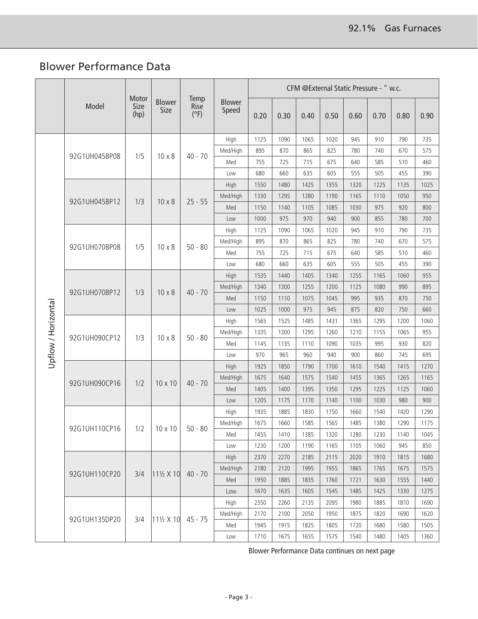### Blower Performance Data

|                     |               |                       |                       | CFM @External Static Pressure - " w.c. |                        |      |      |      |      |      |      |      |      |
|---------------------|---------------|-----------------------|-----------------------|----------------------------------------|------------------------|------|------|------|------|------|------|------|------|
|                     | Model         | Motor<br>Size<br>(hp) | <b>Blower</b><br>Size | Temp<br>Rise<br>$(^{\circ}F)$          | <b>Blower</b><br>Speed | 0.20 | 0.30 | 0.40 | 0.50 | 0.60 | 0.70 | 0.80 | 0.90 |
|                     |               |                       |                       |                                        | High                   | 1125 | 1090 | 1065 | 1020 | 945  | 910  | 790  | 735  |
|                     | 92G1UH045BP08 | 1/5                   | $10 \times 8$         | $40 - 70$                              | Med/High               | 895  | 870  | 865  | 825  | 780  | 740  | 670  | 575  |
|                     |               |                       |                       |                                        | Med                    | 755  | 725  | 715  | 675  | 640  | 585  | 510  | 460  |
|                     |               |                       |                       |                                        | Low                    | 680  | 660  | 635  | 605  | 555  | 505  | 455  | 390  |
|                     |               |                       |                       |                                        | High                   | 1550 | 1480 | 1425 | 1355 | 1320 | 1225 | 1135 | 1025 |
|                     | 92G1UH045BP12 | 1/3                   | $10 \times 8$         | $25 - 55$                              | Med/High               | 1330 | 1295 | 1280 | 1190 | 1165 | 1110 | 1050 | 950  |
|                     |               |                       |                       |                                        | Med                    | 1150 | 1140 | 1105 | 1085 | 1030 | 975  | 920  | 800  |
|                     |               |                       |                       |                                        | Low                    | 1000 | 975  | 970  | 940  | 900  | 855  | 780  | 700  |
|                     |               |                       |                       |                                        | High                   | 1125 | 1090 | 1065 | 1020 | 945  | 910  | 790  | 735  |
|                     | 92G1UH070BP08 |                       | $10 \times 8$         | $50 - 80$                              | Med/High               | 895  | 870  | 865  | 825  | 780  | 740  | 670  | 575  |
|                     |               | 1/5                   |                       |                                        | Med                    | 755  | 725  | 715  | 675  | 640  | 585  | 510  | 460  |
|                     |               |                       |                       |                                        | Low                    | 680  | 660  | 635  | 605  | 555  | 505  | 455  | 390  |
| Upflow / Horizontal | 92G1UH070BP12 |                       | $10 \times 8$         | $40 - 70$                              | High                   | 1535 | 1440 | 1405 | 1340 | 1255 | 1165 | 1060 | 955  |
|                     |               | 1/3                   |                       |                                        | Med/High               | 1340 | 1300 | 1255 | 1200 | 1125 | 1080 | 990  | 895  |
|                     |               |                       |                       |                                        | Med                    | 1150 | 1110 | 1075 | 1045 | 995  | 935  | 870  | 750  |
|                     |               |                       |                       |                                        | Low                    | 1025 | 1000 | 975  | 945  | 875  | 820  | 750  | 660  |
|                     | 92G1UH090CP12 | 1/3                   | $10 \times 8$         | $50 - 80$                              | High                   | 1565 | 1525 | 1485 | 1431 | 1365 | 1295 | 1200 | 1060 |
|                     |               |                       |                       |                                        | Med/High               | 1335 | 1300 | 1295 | 1260 | 1210 | 1155 | 1065 | 955  |
|                     |               |                       |                       |                                        | Med                    | 1145 | 1135 | 1110 | 1090 | 1035 | 995  | 930  | 820  |
|                     |               |                       |                       |                                        | Low                    | 970  | 965  | 960  | 940  | 900  | 860  | 745  | 695  |
|                     | 92G1UH090CP16 | 1/2                   | $10 \times 10$        | $40 - 70$                              | High                   | 1925 | 1850 | 1790 | 1700 | 1610 | 1540 | 1415 | 1270 |
|                     |               |                       |                       |                                        | Med/High               | 1675 | 1640 | 1575 | 1540 | 1455 | 1365 | 1265 | 1165 |
|                     |               |                       |                       |                                        | Med                    | 1405 | 1400 | 1395 | 1350 | 1295 | 1225 | 1125 | 1060 |
|                     |               |                       |                       |                                        | Low                    | 1205 | 1175 | 1170 | 1140 | 1100 | 1030 | 980  | 900  |
|                     |               |                       |                       |                                        | High                   | 1935 | 1885 | 1830 | 1750 | 1660 | 1540 | 1420 | 1290 |
|                     |               |                       |                       |                                        | Med/High               | 1675 | 1660 | 1585 | 1565 | 1485 | 1380 | 1290 | 1175 |
|                     | 92G1UH110CP16 |                       | $1/2$   10 x 10       | $50 - 80$                              | Med                    | 1455 | 1410 | 1385 | 1320 | 1280 | 1230 | 1140 | 1045 |
|                     |               |                       |                       |                                        | Low                    | 1230 | 1200 | 1190 | 1165 | 1105 | 1060 | 945  | 850  |
|                     |               |                       |                       |                                        | High                   | 2370 | 2270 | 2185 | 2115 | 2020 | 1910 | 1815 | 1680 |
|                     |               |                       |                       |                                        | Med/High               | 2180 | 2120 | 1995 | 1955 | 1865 | 1765 | 1675 | 1575 |
|                     | 92G1UH110CP20 | 3/4                   | 111/2 X 10            | $40 - 70$                              | Med                    | 1950 | 1885 | 1835 | 1760 | 1721 | 1630 | 1555 | 1440 |
|                     |               |                       |                       |                                        | Low                    | 1670 | 1635 | 1605 | 1545 | 1485 | 1425 | 1330 | 1275 |
|                     |               |                       |                       |                                        | High                   | 2350 | 2260 | 2135 | 2095 | 1980 | 1885 | 1810 | 1690 |
|                     |               |                       | $11\frac{1}{2}$ X 10  |                                        | Med/High               | 2170 | 2100 | 2050 | 1950 | 1875 | 1820 | 1690 | 1620 |
|                     | 92G1UH135DP20 | 3/4                   |                       | $45 - 75$                              | Med                    | 1945 | 1915 | 1825 | 1805 | 1720 | 1680 | 1580 | 1505 |
|                     |               |                       |                       |                                        | Low                    | 1710 | 1675 | 1655 | 1575 | 1540 | 1480 | 1405 | 1360 |

Blower Performance Data continues on next page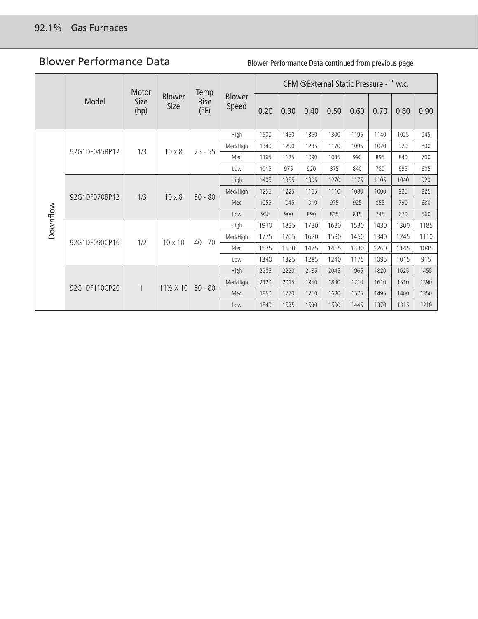### Blower Performance Data

Blower Performance Data continued from previous page

|          |               | Motor        | <b>Blower</b><br><b>Size</b> | <b>Temp</b><br><b>Rise</b><br>(°F) | <b>Blower</b><br>Speed | CFM @External Static Pressure - " w.c. |      |      |      |      |      |      |      |
|----------|---------------|--------------|------------------------------|------------------------------------|------------------------|----------------------------------------|------|------|------|------|------|------|------|
|          | Model         | Size<br>(hp) |                              |                                    |                        | 0.20                                   | 0.30 | 0.40 | 0.50 | 0.60 | 0.70 | 0.80 | 0.90 |
|          |               | 1/3          | $10 \times 8$                | $25 - 55$                          | High                   | 1500                                   | 1450 | 1350 | 1300 | 1195 | 1140 | 1025 | 945  |
|          | 92G1DF045BP12 |              |                              |                                    | Med/High               | 1340                                   | 1290 | 1235 | 1170 | 1095 | 1020 | 920  | 800  |
|          |               |              |                              |                                    | Med                    | 1165                                   | 1125 | 1090 | 1035 | 990  | 895  | 840  | 700  |
|          |               |              |                              |                                    | Low                    | 1015                                   | 975  | 920  | 875  | 840  | 780  | 695  | 605  |
| Downflow | 92G1DF070BP12 |              |                              | $50 - 80$                          | High                   | 1405                                   | 1355 | 1305 | 1270 | 1175 | 1105 | 1040 | 920  |
|          |               | 1/3          | $10 \times 8$                |                                    | Med/High               | 1255                                   | 1225 | 1165 | 1110 | 1080 | 1000 | 925  | 825  |
|          |               |              |                              |                                    | Med                    | 1055                                   | 1045 | 1010 | 975  | 925  | 855  | 790  | 680  |
|          |               |              |                              |                                    | Low                    | 930                                    | 900  | 890  | 835  | 815  | 745  | 670  | 560  |
|          | 92G1DF090CP16 | 1/2          | $10 \times 10$               | $40 - 70$                          | High                   | 1910                                   | 1825 | 1730 | 1630 | 1530 | 1430 | 1300 | 1185 |
|          |               |              |                              |                                    | Med/High               | 1775                                   | 1705 | 1620 | 1530 | 1450 | 1340 | 1245 | 1110 |
|          |               |              |                              |                                    | Med                    | 1575                                   | 1530 | 1475 | 1405 | 1330 | 1260 | 1145 | 1045 |
|          |               |              |                              |                                    | Low                    | 1340                                   | 1325 | 1285 | 1240 | 1175 | 1095 | 1015 | 915  |
|          |               | $\mathbf{1}$ | $11\frac{1}{2}$ X 10         |                                    | High                   | 2285                                   | 2220 | 2185 | 2045 | 1965 | 1820 | 1625 | 1455 |
|          |               |              |                              | $50 - 80$                          | Med/High               | 2120                                   | 2015 | 1950 | 1830 | 1710 | 1610 | 1510 | 1390 |
|          | 92G1DF110CP20 |              |                              |                                    | Med                    | 1850                                   | 1770 | 1750 | 1680 | 1575 | 1495 | 1400 | 1350 |
|          |               |              |                              |                                    | Low                    | 1540                                   | 1535 | 1530 | 1500 | 1445 | 1370 | 1315 | 1210 |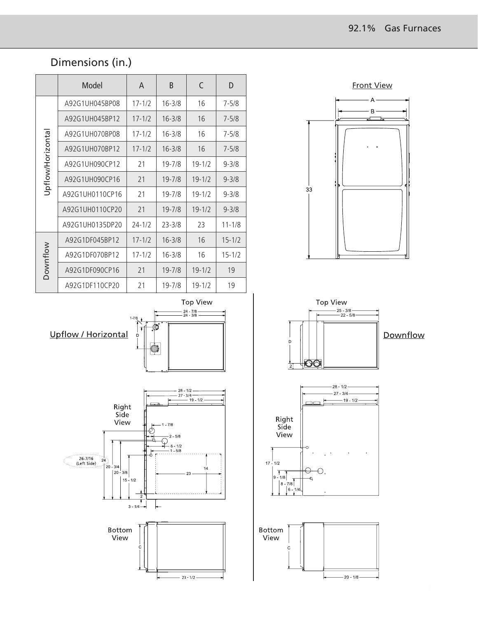## Dimensions (in.)

|                  | Model           | A          | B          | C          | D          |  |
|------------------|-----------------|------------|------------|------------|------------|--|
|                  | A92G1UH045BP08  | $17 - 1/2$ | $16 - 3/8$ | 16         | $7 - 5/8$  |  |
|                  | A92G1UH045BP12  | $17 - 1/2$ | $16 - 3/8$ | 16         | $7 - 5/8$  |  |
|                  | A92G1UH070BP08  | $17 - 1/2$ | $16 - 3/8$ | 16         | $7 - 5/8$  |  |
|                  | A92G1UH070BP12  | $17 - 1/2$ | $16 - 3/8$ | 16         | $7 - 5/8$  |  |
|                  | A92G1UH090CP12  | 21         | $19 - 7/8$ | $19 - 1/2$ | $9 - 3/8$  |  |
| Jpflow/Horizonta | A92G1UH090CP16  | 21         | $19 - 7/8$ | $19 - 1/2$ | $9 - 3/8$  |  |
|                  | A92G1UH0110CP16 | 21         | $19 - 7/8$ | $19 - 1/2$ | $9 - 3/8$  |  |
|                  | A92G1UH0110CP20 | 21         | $19 - 7/8$ | $19 - 1/2$ | $9 - 3/8$  |  |
|                  | A92G1UH0135DP20 | $24 - 1/2$ | $23 - 3/8$ | 23         | $11 - 1/8$ |  |
| Downflow         | A92G1DF045BP12  | $17 - 1/2$ | $16 - 3/8$ | 16         | $15 - 1/2$ |  |
|                  | A92G1DF070BP12  | $17 - 1/2$ | $16 - 3/8$ | 16         | $15 - 1/2$ |  |
|                  | A92G1DF090CP16  | 21         | $19 - 7/8$ | $19 - 1/2$ | 19         |  |
|                  | A92G1DF110CP20  | 21         | $19 - 7/8$ | $19 - 1/2$ | 19         |  |

Front View $\overline{A}$  $\mathbf{B}$ ъ



33

Downflow







Top View

 $24$   $7/8$ <br> $24$   $3/8$ 

F.

্চ Ŧ

Ò,

 $1 - 7$ 

D.

Upflow / Horizontal